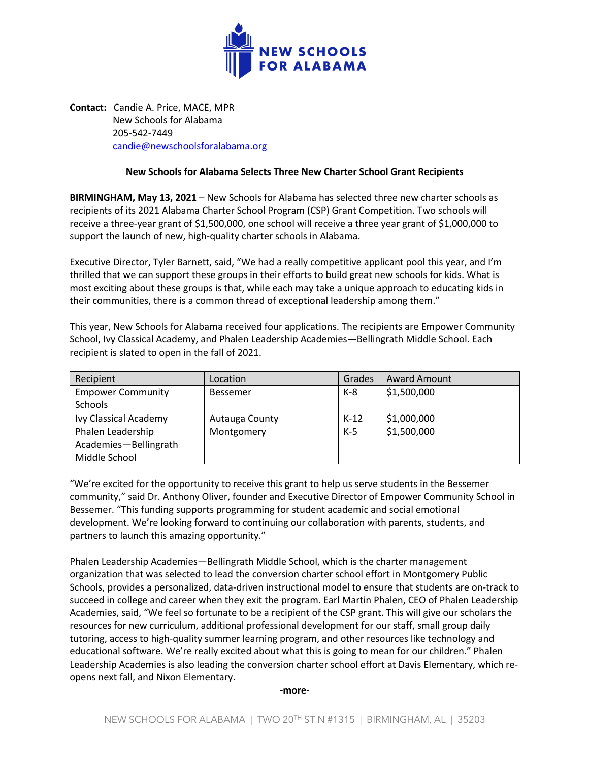

**Contact:** Candie A. Price, MACE, MPR New Schools for Alabama 205-542-7449 candie@newschoolsforalabama.org

## **New Schools for Alabama Selects Three New Charter School Grant Recipients**

**BIRMINGHAM, May 13, 2021** – New Schools for Alabama has selected three new charter schools as recipients of its 2021 Alabama Charter School Program (CSP) Grant Competition. Two schools will receive a three-year grant of \$1,500,000, one school will receive a three year grant of \$1,000,000 to support the launch of new, high-quality charter schools in Alabama.

Executive Director, Tyler Barnett, said, "We had a really competitive applicant pool this year, and I'm thrilled that we can support these groups in their efforts to build great new schools for kids. What is most exciting about these groups is that, while each may take a unique approach to educating kids in their communities, there is a common thread of exceptional leadership among them."

This year, New Schools for Alabama received four applications. The recipients are Empower Community School, Ivy Classical Academy, and Phalen Leadership Academies—Bellingrath Middle School. Each recipient is slated to open in the fall of 2021.

| Recipient                | Location       | Grades | <b>Award Amount</b> |
|--------------------------|----------------|--------|---------------------|
| <b>Empower Community</b> | Bessemer       | K-8    | \$1,500,000         |
| Schools                  |                |        |                     |
| Ivy Classical Academy    | Autauga County | $K-12$ | \$1,000,000         |
| Phalen Leadership        | Montgomery     | $K-5$  | \$1,500,000         |
| Academies-Bellingrath    |                |        |                     |
| Middle School            |                |        |                     |

"We're excited for the opportunity to receive this grant to help us serve students in the Bessemer community," said Dr. Anthony Oliver, founder and Executive Director of Empower Community School in Bessemer. "This funding supports programming for student academic and social emotional development. We're looking forward to continuing our collaboration with parents, students, and partners to launch this amazing opportunity."

Phalen Leadership Academies—Bellingrath Middle School, which is the charter management organization that was selected to lead the conversion charter school effort in Montgomery Public Schools, provides a personalized, data-driven instructional model to ensure that students are on-track to succeed in college and career when they exit the program. Earl Martin Phalen, CEO of Phalen Leadership Academies, said, "We feel so fortunate to be a recipient of the CSP grant. This will give our scholars the resources for new curriculum, additional professional development for our staff, small group daily tutoring, access to high-quality summer learning program, and other resources like technology and educational software. We're really excited about what this is going to mean for our children." Phalen Leadership Academies is also leading the conversion charter school effort at Davis Elementary, which reopens next fall, and Nixon Elementary.

**-more-**